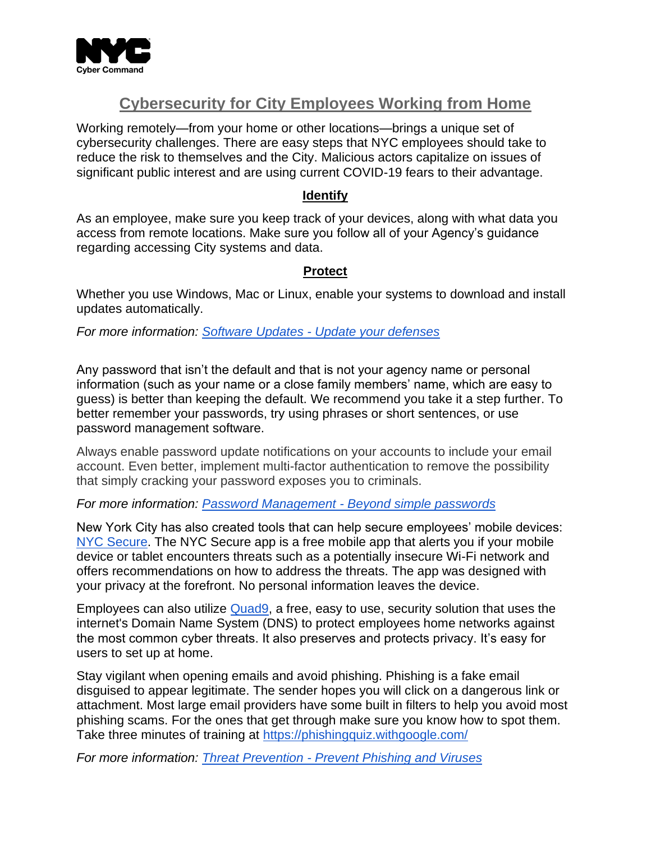

# **Cybersecurity for City Employees Working from Home**

Working remotely—from your home or other locations—brings a unique set of cybersecurity challenges. There are easy steps that NYC employees should take to reduce the risk to themselves and the City. Malicious actors capitalize on issues of significant public interest and are using current COVID-19 fears to their advantage.

### **Identify**

As an employee, make sure you keep track of your devices, along with what data you access from remote locations. Make sure you follow all of your Agency's guidance regarding accessing City systems and data.

### **Protect**

Whether you use Windows, Mac or Linux, enable your systems to download and install updates automatically.

*For more information: Software Updates - [Update your defenses](https://gcatoolkit.org/smallbusiness/update-your-defenses/)* 

Any password that isn't the default and that is not your agency name or personal information (such as your name or a close family members' name, which are easy to guess) is better than keeping the default. We recommend you take it a step further. To better remember your passwords, try using phrases or short sentences, or use password management software.

Always enable password update notifications on your accounts to include your email account. Even better, implement multi-factor authentication to remove the possibility that simply cracking your password exposes you to criminals.

### *For more information: Password Management - [Beyond simple passwords](https://gcatoolkit.org/smallbusiness/beyond-simple-passwords/)*

New York City has also created tools that can help secure employees' mobile devices: [NYC Secure.](https://secure.nyc/) The NYC Secure app is a free mobile app that alerts you if your mobile device or tablet encounters threats such as a potentially insecure Wi-Fi network and offers recommendations on how to address the threats. The app was designed with your privacy at the forefront. No personal information leaves the device.

Employees can also utilize [Quad9,](https://quad9.net/) a free, easy to use, security solution that uses the internet's Domain Name System (DNS) to protect employees home networks against the most common cyber threats. It also preserves and protects privacy. It's easy for users to set up at home.

Stay vigilant when opening emails and avoid phishing. Phishing is a fake email disguised to appear legitimate. The sender hopes you will click on a dangerous link or attachment. Most large email providers have some built in filters to help you avoid most phishing scams. For the ones that get through make sure you know how to spot them. Take three minutes of training at<https://phishingquiz.withgoogle.com/>

*For more information: Threat Prevention - [Prevent Phishing and Viruses](https://gcatoolkit.org/smallbusiness/prevent-phishing-and-viruses/)*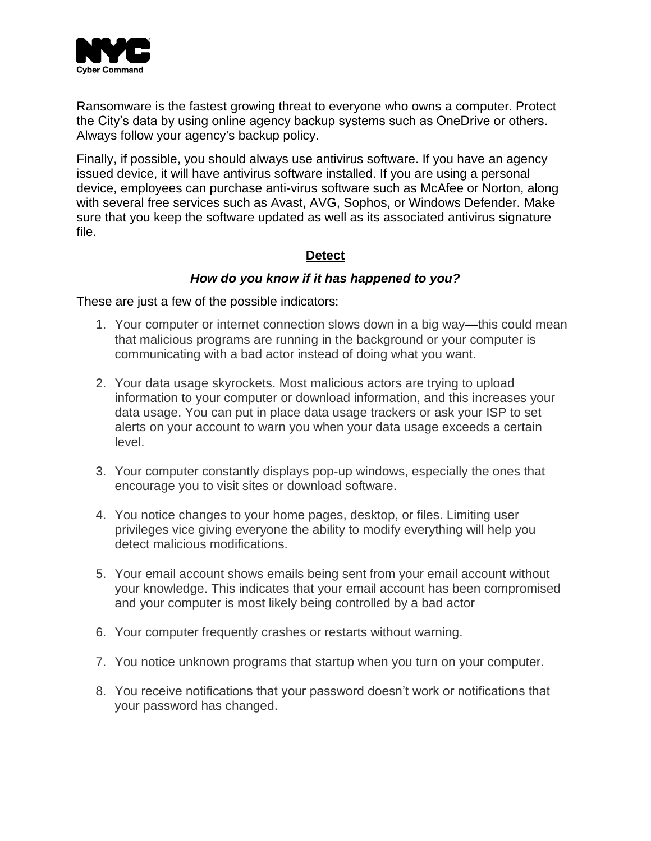

Ransomware is the fastest growing threat to everyone who owns a computer. Protect the City's data by using online agency backup systems such as OneDrive or others. Always follow your agency's backup policy.

Finally, if possible, you should always use antivirus software. If you have an agency issued device, it will have antivirus software installed. If you are using a personal device, employees can purchase anti-virus software such as McAfee or Norton, along with several free services such as Avast, AVG, Sophos, or Windows Defender. Make sure that you keep the software updated as well as its associated antivirus signature file.

# **Detect**

# *How do you know if it has happened to you?*

These are just a few of the possible indicators:

- 1. Your computer or internet connection slows down in a big way**—**this could mean that malicious programs are running in the background or your computer is communicating with a bad actor instead of doing what you want.
- 2. Your data usage skyrockets. Most malicious actors are trying to upload information to your computer or download information, and this increases your data usage. You can put in place data usage trackers or ask your ISP to set alerts on your account to warn you when your data usage exceeds a certain level.
- 3. Your computer constantly displays pop-up windows, especially the ones that encourage you to visit sites or download software.
- 4. You notice changes to your home pages, desktop, or files. Limiting user privileges vice giving everyone the ability to modify everything will help you detect malicious modifications.
- 5. Your email account shows emails being sent from your email account without your knowledge. This indicates that your email account has been compromised and your computer is most likely being controlled by a bad actor
- 6. Your computer frequently crashes or restarts without warning.
- 7. You notice unknown programs that startup when you turn on your computer.
- 8. You receive notifications that your password doesn't work or notifications that your password has changed.